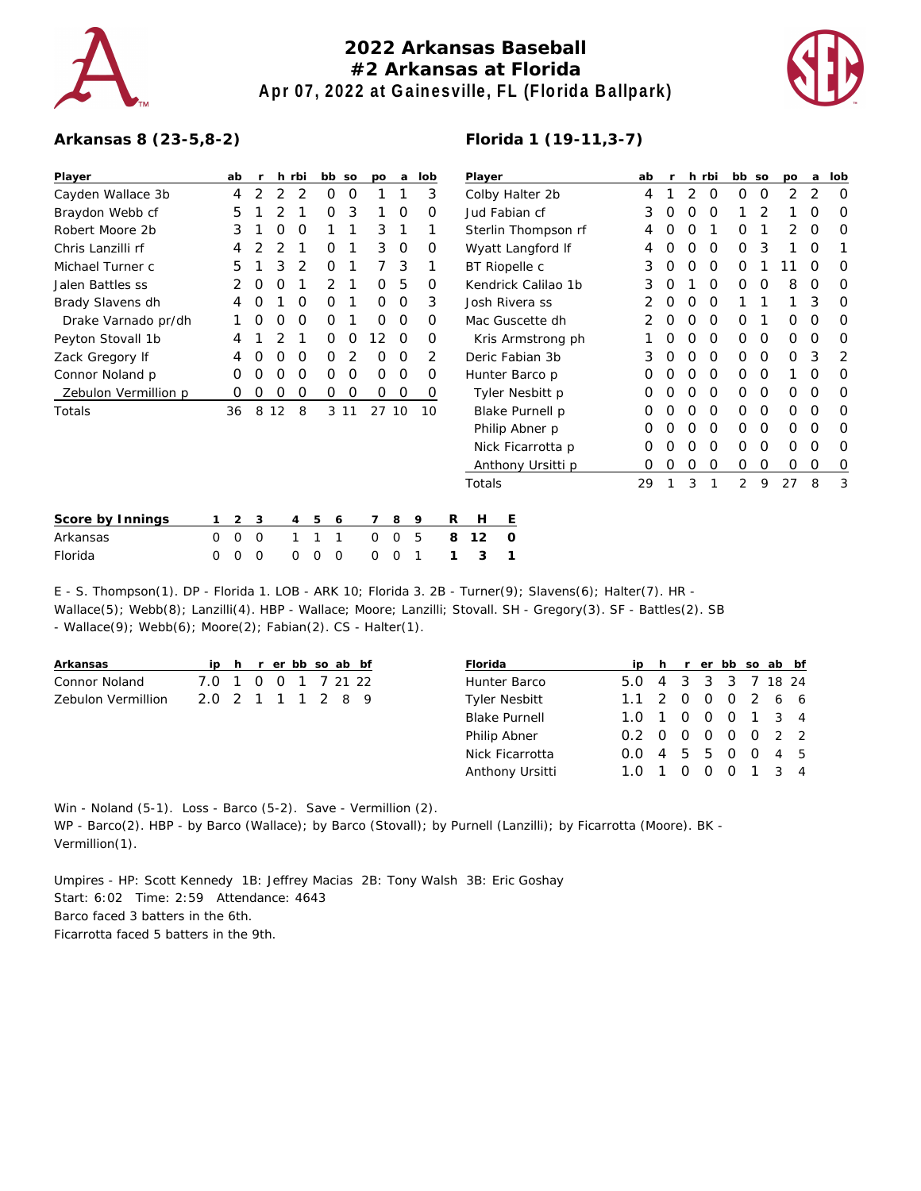

## **2022 Arkansas Baseball #2 Arkansas at Florida Apr 07, 2022 at Gainesville, FL (Florida Ballpark)**



**Player ab r h rbi bb so po a lob**

## **Arkansas 8 (23-5,8-2)**

| Player               | ab |   |    | h rbi | bb so  |   | po       | a              | lob | Player              | ab |   |   | h rbi | bb so    |          | po | a        | lob |
|----------------------|----|---|----|-------|--------|---|----------|----------------|-----|---------------------|----|---|---|-------|----------|----------|----|----------|-----|
| Cayden Wallace 3b    | 4  | 2 | 2  | 2     | 0      | 0 |          |                | 3   | Colby Halter 2b     | 4  |   | 2 | 0     | $\Omega$ | 0        | 2  | 2        | O   |
| Braydon Webb cf      | 5  |   |    |       | Ο      | 3 |          | $\Omega$       | O   | Jud Fabian cf       | 3  | O | Ο | O     |          |          |    |          |     |
| Robert Moore 2b      | 3  |   | 0  | O     |        |   | 3        |                |     | Sterlin Thompson rf | 4  |   |   |       |          |          |    | 0        |     |
| Chris Lanzilli rf    |    |   |    |       | Ο      |   | 3        | 0              | 0   | Wyatt Langford If   | 4  | Ο | Ο | 0     | $\Omega$ | 3        |    | 0        |     |
| Michael Turner c     | 5  |   |    |       | O      |   |          | 3              |     | BT Riopelle c       | 3  | 0 | Ο | O     |          |          |    | O        |     |
| Jalen Battles ss     |    | O | Ο  |       | 2      |   | 0        | 5              | 0   | Kendrick Calilao 1b | 3  | Ο |   | O     | $\Omega$ | O        | 8  | 0        | O   |
| Brady Slavens dh     | 4  | O |    | 0     | 0      |   | 0        | $\overline{0}$ | 3   | Josh Rivera ss      |    | 0 | O | 0     |          |          |    | 3        | O   |
| Drake Varnado pr/dh  |    | 0 | O  | O     | O      |   | $\Omega$ | 0              | O   | Mac Guscette dh     |    | Ο | O | O     | $\Omega$ |          | Ο  | $\Omega$ |     |
| Peyton Stovall 1b    |    |   |    |       | Ο      | O | 12.      | $\Omega$       | Ο   | Kris Armstrong ph   |    | Ο | O | 0     | O        | $\Omega$ | 0  | $\Omega$ | O   |
| Zack Gregory If      |    | 0 | O  | O     | 0      | 2 | 0        | $\Omega$       | 2   | Deric Fabian 3b     | 3  | O | Ο | 0     | $\Omega$ | $\Omega$ | 0  | 3        | 2   |
| Connor Noland p      | Ο  |   |    | O     | Ο      | O | 0        | $\Omega$       | Ο   | Hunter Barco p      |    |   | O | O     | $\Omega$ | $\Omega$ |    | O        |     |
| Zebulon Vermillion p | Ο  | 0 | O  | 0     | 0      | 0 | 0        | O              | 0   | Tyler Nesbitt p     | Ο  |   | Ω | O     | O        | $\Omega$ | Ο  | O        |     |
| Totals               | 36 | 8 | 12 | 8     | 3 1 1  |   | 27 10    |                | 10  | Blake Purnell p     | O  | Ο | Ο | 0     | $\Omega$ | $\Omega$ | 0  | $\Omega$ | O   |
|                      |    |   |    |       |        |   |          |                |     | Philip Abner p      | O  | 0 | Ο | 0     | O        | $\Omega$ | 0  | $\Omega$ |     |
|                      |    |   |    |       |        |   |          |                |     | Nick Ficarrotta p   | O  |   | O | 0     | $\Omega$ | $\Omega$ | 0  | $\Omega$ |     |
|                      |    |   |    |       |        |   |          |                |     | Anthony Ursitti p   | 0  | O | 0 | 0     | 0        | 0        | 0  | 0        | 0   |
|                      |    |   |    |       |        |   |          |                |     | Totals              | 29 |   | 3 |       | 2        | 9        | 27 | 8        | 3   |
| Score by Innings     | 2  | 3 |    | 4     | 5<br>6 |   |          | 8              | 9   | R<br>Ε<br>H         |    |   |   |       |          |          |    |          |     |

| OCOTE DY THILINGS TELES OF HE OF OUR PROPERTY TO PERSON TRANSPORTED THE LET |  |  |  |                         |  |  |  |
|-----------------------------------------------------------------------------|--|--|--|-------------------------|--|--|--|
| Arkansas                                                                    |  |  |  | 000 111 005 812 0       |  |  |  |
| Florida                                                                     |  |  |  | 0 0 0 0 0 0 0 0 1 1 3 1 |  |  |  |

E - S. Thompson(1). DP - Florida 1. LOB - ARK 10; Florida 3. 2B - Turner(9); Slavens(6); Halter(7). HR - Wallace(5); Webb(8); Lanzilli(4). HBP - Wallace; Moore; Lanzilli; Stovall. SH - Gregory(3). SF - Battles(2). SB - Wallace(9); Webb(6); Moore(2); Fabian(2). CS - Halter(1).

| Arkansas           |                     |  | ip h r er bb so ab bf |  |  |
|--------------------|---------------------|--|-----------------------|--|--|
| Connor Noland      | 7.0 1 0 0 1 7 21 22 |  |                       |  |  |
| Zebulon Vermillion | 20 2 1 1 1 2 8 9    |  |                       |  |  |

| Florida              |                   |  | ip h r er bb so ab bf |  |  |
|----------------------|-------------------|--|-----------------------|--|--|
| Hunter Barco         | 5.0               |  | 4 3 3 3 7 18 24       |  |  |
| <b>Tyler Nesbitt</b> | 1.1 2 0 0 0 2 6 6 |  |                       |  |  |
| <b>Blake Purnell</b> | 1.0 1 0 0 0 1 3 4 |  |                       |  |  |
| Philip Abner         | 0.2 0 0 0 0 0 2 2 |  |                       |  |  |
| Nick Ficarrotta      | O.O               |  | 4 5 5 0 0 4 5         |  |  |
| Anthony Ursitti      | 1.0 1 0 0 0 1 3 4 |  |                       |  |  |

Win - Noland (5-1). Loss - Barco (5-2). Save - Vermillion (2). WP - Barco(2). HBP - by Barco (Wallace); by Barco (Stovall); by Purnell (Lanzilli); by Ficarrotta (Moore). BK -Vermillion(1).

Umpires - HP: Scott Kennedy 1B: Jeffrey Macias 2B: Tony Walsh 3B: Eric Goshay Start: 6:02 Time: 2:59 Attendance: 4643 Barco faced 3 batters in the 6th. Ficarrotta faced 5 batters in the 9th.

## **Florida 1 (19-11,3-7)**